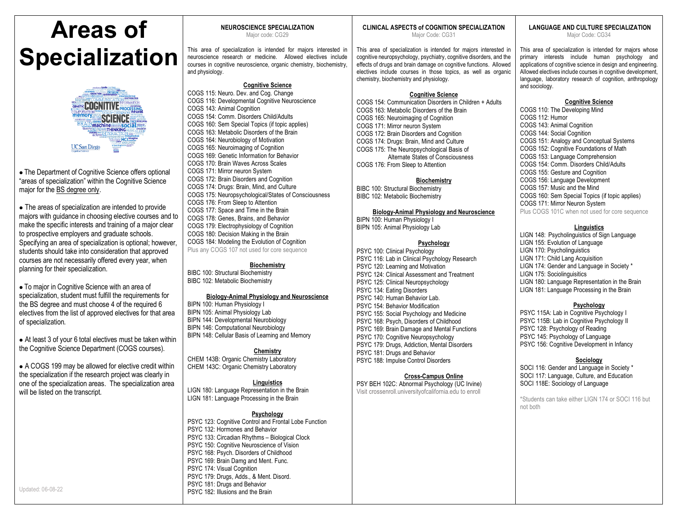# **Areas of Specialization**



• The Department of Cognitive Science offers optional "areas of specialization" within the Cognitive Science major for the BS degree only.

• The areas of specialization are intended to provide majors with guidance in choosing elective courses and to make the specific interests and training of a major clear to prospective employers and graduate schools. Specifying an area of specialization is optional; however, students should take into consideration that approved courses are not necessarily offered every year, when planning for their specialization.

• To major in Cognitive Science with an area of specialization, student must fulfill the requirements for the BS degree and must choose 4 of the required 6 electives from the list of approved electives for that area of specialization.

• At least 3 of your 6 total electives must be taken within the Cognitive Science Department (COGS courses).

• A COGS 199 may be allowed for elective credit within the specialization if the research project was clearly in one of the specialization areas. The specialization area will be listed on the transcript.

# **NEUROSCIENCE SPECIALIZATION**

Major code: CG29

This area of specialization is intended for majors interested in neuroscience research or medicine. Allowed electives include courses in cognitive neuroscience, organic chemistry, biochemistry, and physiology.

## **Cognitive Science**

COGS 115: Neuro. Dev. and Cog. Change COGS 116: Developmental Cognitive Neuroscience COGS 143: Animal Cognition COGS 154: Comm. Disorders Child/Adults COGS 160: Sem Special Topics (if topic applies) COGS 163: Metabolic Disorders of the Brain COGS 164: Neurobiology of Motivation COGS 165: Neuroimaging of Cognition COGS 169: Genetic Information for Behavior COGS 170: Brain Waves Across Scales COGS 171: Mirror neuron System COGS 172: Brain Disorders and Cognition COGS 174: Drugs: Brain, Mind, and Culture COGS 175: Neuropsychological/States of Consciousness COGS 176: From Sleep to Attention COGS 177: Space and Time in the Brain COGS 178: Genes, Brains, and Behavior COGS 179: Electrophysiology of Cognition COGS 180: Decision Making in the Brain COGS 184: Modeling the Evolution of Cognition

Plus any COGS 107 not used for core sequence

## **Biochemistry**

BIBC 100: Structural Biochemistry BIBC 102: Metabolic Biochemistry

## **Biology-Animal Physiology and Neuroscience**

BIPN 100: Human Physiology I BIPN 105: Animal Physiology Lab BIPN 144: Developmental Neurobiology BIPN 146: Computational Neurobiology

BIPN 148: Cellular Basis of Learning and Memory

## **Chemistry**

CHEM 143B: Organic Chemistry Laboratory CHEM 143C: Organic Chemistry Laboratory

## **Linguistics**

LIGN 180: Language Representation in the Brain LIGN 181: Language Processing in the Brain

## **Psychology**

PSYC 123: Cognitive Control and Frontal Lobe Function PSYC 132: Hormones and Behavior PSYC 133: Circadian Rhythms – Biological Clock PSYC 150: Cognitive Neuroscience of Vision PSYC 168: Psych. Disorders of Childhood PSYC 169: Brain Damg and Ment. Func. PSYC 174: Visual Cognition PSYC 179: Drugs, Adds., & Ment. Disord. PSYC 181: Drugs and Behavior PSYC 182: Illusions and the Brain

## **CLINICAL ASPECTS of COGNITION SPECIALIZATION**

Major Code: CG31

This area of specialization is intended for majors interested in cognitive neuropsychology, psychiatry, cognitive disorders, and the effects of drugs and brain damage on cognitive functions. Allowed electives include courses in those topics, as well as organic chemistry, biochemistry and physiology.

## **Cognitive Science**

COGS 154: Communication Disorders in Children + Adults COGS 163: Metabolic Disorders of the Brain COGS 165: Neuroimaging of Cognition COGS 171: Mirror neuron System COGS 172: Brain Disorders and Cognition COGS 174: Drugs: Brain, Mind and Culture COGS 175: The Neuropsychological Basis of Alternate States of Consciousness COGS 176: From Sleep to Attention

## **Biochemistry**

BIBC 100: Structural Biochemistry BIBC 102: Metabolic Biochemistry

## **Biology-Animal Physiology and Neuroscience**

BIPN 100: Human Physiology I BIPN 105: Animal Physiology Lab

## **Psychology**

PSYC 100: Clinical Psychology PSYC 116: Lab in Clinical Psychology Research PSYC 120: Learning and Motivation PSYC 124: Clinical Assessment and Treatment PSYC 125: Clinical Neuropsychology PSYC 134: Eating Disorders PSYC 140: Human Behavior Lab. PSYC 154: Behavior Modification PSYC 155: Social Psychology and Medicine PSYC 168: Psych, Disorders of Childhood PSYC 169: Brain Damage and Mental Functions PSYC 170: Cognitive Neuropsychology PSYC 179: Drugs, Addiction, Mental Disorders PSYC 181: Drugs and Behavior PSYC 188: Impulse Control Disorders

## **Cross-Campus Online**

PSY BEH 102C: Abnormal Psychology (UC Irvine) Visit crossenroll.universityofcalifornia.edu to enroll

## **LANGUAGE AND CULTURE SPECIALIZATION**

Major Code: CG34

This area of specialization is intended for majors whose primary interests include human psychology and applications of cognitive science in design and engineering. Allowed electives include courses in cognitive development, language, laboratory research of cognition, anthropology and sociology.

## **Cognitive Science**

COGS 110: The Developing Mind COGS 112: Humor COGS 143: Animal Cognition COGS 144: Social Cognition COGS 151: Analogy and Conceptual Systems COGS 152: Cognitive Foundations of Math COGS 153: Language Comprehension COGS 154: Comm. Disorders Child/Adults COGS 155: Gesture and Cognition COGS 156: Language Development COGS 157: Music and the Mind COGS 160: Sem Special Topics (if topic applies) COGS 171: Mirror Neuron System Plus COGS 101C when not used for core sequence

## **Linguistics**

LIGN 148: Psycholinguistics of Sign Language LIGN 155: Evolution of Language LIGN 170: Psycholinguistics LIGN 171: Child Lang Acquisition LIGN 174: Gender and Language in Society \* LIGN 175: Sociolinguisitics LIGN 180: Language Representation in the Brain LIGN 181: Language Processing in the Brain

## **Psychology**

PSYC 115A: Lab in Cognitive Psychology I PSYC 115B: Lab in Cognitive Psychology II PSYC 128: Psychology of Reading PSYC 145: Psychology of Language PSYC 156: Cognitive Development in Infancy

## **Sociology**

SOCI 116: Gender and Language in Society \* SOCI 117: Language, Culture, and Education SOCI 118E: Sociology of Language

\*Students can take either LIGN 174 or SOCI 116 but not both